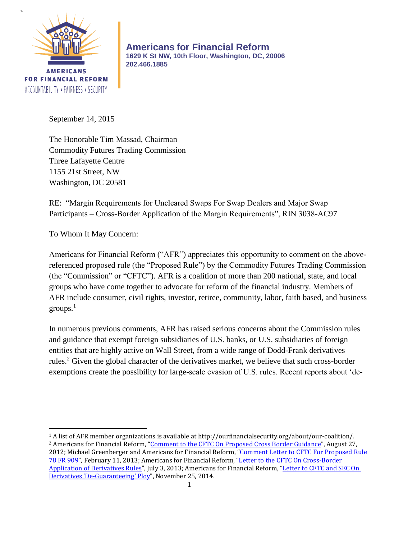

**Americans for Financial Reform 1629 K St NW, 10th Floor, Washington, DC, 20006 202.466.1885**

September 14, 2015

The Honorable Tim Massad, Chairman Commodity Futures Trading Commission Three Lafayette Centre 1155 21st Street, NW Washington, DC 20581

RE: "Margin Requirements for Uncleared Swaps For Swap Dealers and Major Swap Participants – Cross-Border Application of the Margin Requirements", RIN 3038-AC97

To Whom It May Concern:

 $\overline{a}$ 

Americans for Financial Reform ("AFR") appreciates this opportunity to comment on the abovereferenced proposed rule (the "Proposed Rule") by the Commodity Futures Trading Commission (the "Commission" or "CFTC"). AFR is a coalition of more than 200 national, state, and local groups who have come together to advocate for reform of the financial industry. Members of AFR include consumer, civil rights, investor, retiree, community, labor, faith based, and business groups. 1

In numerous previous comments, AFR has raised serious concerns about the Commission rules and guidance that exempt foreign subsidiaries of U.S. banks, or U.S. subsidiaries of foreign entities that are highly active on Wall Street, from a wide range of Dodd-Frank derivatives rules.<sup>2</sup> Given the global character of the derivatives market, we believe that such cross-border exemptions create the possibility for large-scale evasion of U.S. rules. Recent reports about 'de-

<sup>1</sup> A list of AFR member organizations is available at http://ourfinancialsecurity.org/about/our-coalition/. <sup>2</sup> Americans for Financial Reform, "[Comment to the CFTC On Proposed Cross](http://ourfinancialsecurity.org/blogs/wp-content/ourfinancialsecurity.org/uploads/2012/08/AFR-CFTC-Cross-Border-Comment-letter-8-27-12.pdf) Border Guidance", August 27,

2012; Michael Greenberger and Americans for Financial Reform, "Comment Letter to CFTC For Proposed Rule [78 FR 909](http://comments.cftc.gov/PublicComments/ViewComment.aspx?id=59149&SearchText=)", February 11, 2013; Americans for Financial Reform, "Letter to the CFTC On Cross-Border [Application of Derivatives Rules](http://ourfinancialsecurity.org/blogs/wp-content/ourfinancialsecurity.org/uploads/2013/07/AFR-Letter-to-the-CFTC-on-Cross-Border-7-3-2013.pdf)", July 3, 2013; Americans for Financial Reform, "Letter to CFTC and SEC On Derivatives '[De-Guaranteeing](http://ourfinancialsecurity.org/blogs/wp-content/ourfinancialsecurity.org/uploads/2014/11/De-Guaranteeing-Letter1.pdf)' Ploy", November 25, 2014.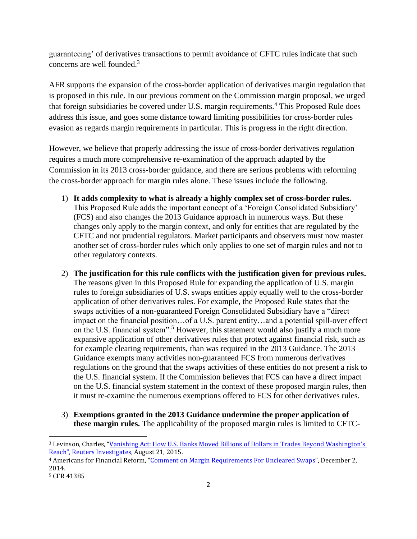guaranteeing' of derivatives transactions to permit avoidance of CFTC rules indicate that such concerns are well founded.<sup>3</sup>

AFR supports the expansion of the cross-border application of derivatives margin regulation that is proposed in this rule. In our previous comment on the Commission margin proposal, we urged that foreign subsidiaries be covered under U.S. margin requirements.<sup>4</sup> This Proposed Rule does address this issue, and goes some distance toward limiting possibilities for cross-border rules evasion as regards margin requirements in particular. This is progress in the right direction.

However, we believe that properly addressing the issue of cross-border derivatives regulation requires a much more comprehensive re-examination of the approach adapted by the Commission in its 2013 cross-border guidance, and there are serious problems with reforming the cross-border approach for margin rules alone. These issues include the following.

- 1) **It adds complexity to what is already a highly complex set of cross-border rules.**  This Proposed Rule adds the important concept of a 'Foreign Consolidated Subsidiary' (FCS) and also changes the 2013 Guidance approach in numerous ways. But these changes only apply to the margin context, and only for entities that are regulated by the CFTC and not prudential regulators. Market participants and observers must now master another set of cross-border rules which only applies to one set of margin rules and not to other regulatory contexts.
- 2) **The justification for this rule conflicts with the justification given for previous rules.**  The reasons given in this Proposed Rule for expanding the application of U.S. margin rules to foreign subsidiaries of U.S. swaps entities apply equally well to the cross-border application of other derivatives rules. For example, the Proposed Rule states that the swaps activities of a non-guaranteed Foreign Consolidated Subsidiary have a "direct impact on the financial position…of a U.S. parent entity…and a potential spill-over effect on the U.S. financial system".<sup>5</sup> However, this statement would also justify a much more expansive application of other derivatives rules that protect against financial risk, such as for example clearing requirements, than was required in the 2013 Guidance. The 2013 Guidance exempts many activities non-guaranteed FCS from numerous derivatives regulations on the ground that the swaps activities of these entities do not present a risk to the U.S. financial system. If the Commission believes that FCS can have a direct impact on the U.S. financial system statement in the context of these proposed margin rules, then it must re-examine the numerous exemptions offered to FCS for other derivatives rules.
- 3) **Exemptions granted in the 2013 Guidance undermine the proper application of these margin rules.** The applicability of the proposed margin rules is limited to CFTC-

 $\overline{\phantom{a}}$ 

<sup>3</sup> Levinson, Charles, "[Vanishing Act: How U.S. Banks Moved Billions of Dollars in](http://www.reuters.com/investigates/special-report/usa-swaps/) Trades Beyond Washington's Reach"[, Reuters Investigates,](http://www.reuters.com/investigates/special-report/usa-swaps/) August 21, 2015.

<sup>4</sup> Americans for Financial Reform, "[Comment on Margin Requirements For Uncleared Swaps](http://ourfinancialsecurity.org/blogs/wp-content/ourfinancialsecurity.org/uploads/2014/12/60072MarcusStanley.pdf)", December 2, 2014.

<sup>5</sup> CFR 41385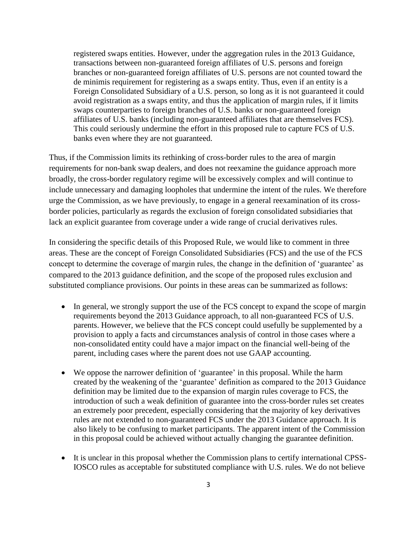registered swaps entities. However, under the aggregation rules in the 2013 Guidance, transactions between non-guaranteed foreign affiliates of U.S. persons and foreign branches or non-guaranteed foreign affiliates of U.S. persons are not counted toward the de minimis requirement for registering as a swaps entity. Thus, even if an entity is a Foreign Consolidated Subsidiary of a U.S. person, so long as it is not guaranteed it could avoid registration as a swaps entity, and thus the application of margin rules, if it limits swaps counterparties to foreign branches of U.S. banks or non-guaranteed foreign affiliates of U.S. banks (including non-guaranteed affiliates that are themselves FCS). This could seriously undermine the effort in this proposed rule to capture FCS of U.S. banks even where they are not guaranteed.

Thus, if the Commission limits its rethinking of cross-border rules to the area of margin requirements for non-bank swap dealers, and does not reexamine the guidance approach more broadly, the cross-border regulatory regime will be excessively complex and will continue to include unnecessary and damaging loopholes that undermine the intent of the rules. We therefore urge the Commission, as we have previously, to engage in a general reexamination of its crossborder policies, particularly as regards the exclusion of foreign consolidated subsidiaries that lack an explicit guarantee from coverage under a wide range of crucial derivatives rules.

In considering the specific details of this Proposed Rule, we would like to comment in three areas. These are the concept of Foreign Consolidated Subsidiaries (FCS) and the use of the FCS concept to determine the coverage of margin rules, the change in the definition of 'guarantee' as compared to the 2013 guidance definition, and the scope of the proposed rules exclusion and substituted compliance provisions. Our points in these areas can be summarized as follows:

- In general, we strongly support the use of the FCS concept to expand the scope of margin requirements beyond the 2013 Guidance approach, to all non-guaranteed FCS of U.S. parents. However, we believe that the FCS concept could usefully be supplemented by a provision to apply a facts and circumstances analysis of control in those cases where a non-consolidated entity could have a major impact on the financial well-being of the parent, including cases where the parent does not use GAAP accounting.
- We oppose the narrower definition of 'guarantee' in this proposal. While the harm created by the weakening of the 'guarantee' definition as compared to the 2013 Guidance definition may be limited due to the expansion of margin rules coverage to FCS, the introduction of such a weak definition of guarantee into the cross-border rules set creates an extremely poor precedent, especially considering that the majority of key derivatives rules are not extended to non-guaranteed FCS under the 2013 Guidance approach. It is also likely to be confusing to market participants. The apparent intent of the Commission in this proposal could be achieved without actually changing the guarantee definition.
- It is unclear in this proposal whether the Commission plans to certify international CPSS-IOSCO rules as acceptable for substituted compliance with U.S. rules. We do not believe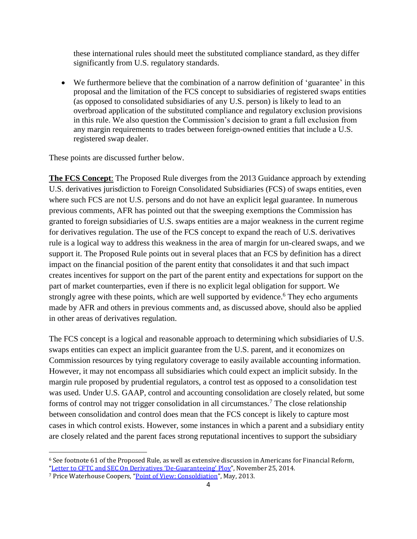these international rules should meet the substituted compliance standard, as they differ significantly from U.S. regulatory standards.

 We furthermore believe that the combination of a narrow definition of 'guarantee' in this proposal and the limitation of the FCS concept to subsidiaries of registered swaps entities (as opposed to consolidated subsidiaries of any U.S. person) is likely to lead to an overbroad application of the substituted compliance and regulatory exclusion provisions in this rule. We also question the Commission's decision to grant a full exclusion from any margin requirements to trades between foreign-owned entities that include a U.S. registered swap dealer.

These points are discussed further below.

**The FCS Concept**: The Proposed Rule diverges from the 2013 Guidance approach by extending U.S. derivatives jurisdiction to Foreign Consolidated Subsidiaries (FCS) of swaps entities, even where such FCS are not U.S. persons and do not have an explicit legal guarantee. In numerous previous comments, AFR has pointed out that the sweeping exemptions the Commission has granted to foreign subsidiaries of U.S. swaps entities are a major weakness in the current regime for derivatives regulation. The use of the FCS concept to expand the reach of U.S. derivatives rule is a logical way to address this weakness in the area of margin for un-cleared swaps, and we support it. The Proposed Rule points out in several places that an FCS by definition has a direct impact on the financial position of the parent entity that consolidates it and that such impact creates incentives for support on the part of the parent entity and expectations for support on the part of market counterparties, even if there is no explicit legal obligation for support. We strongly agree with these points, which are well supported by evidence.<sup>6</sup> They echo arguments made by AFR and others in previous comments and, as discussed above, should also be applied in other areas of derivatives regulation.

The FCS concept is a logical and reasonable approach to determining which subsidiaries of U.S. swaps entities can expect an implicit guarantee from the U.S. parent, and it economizes on Commission resources by tying regulatory coverage to easily available accounting information. However, it may not encompass all subsidiaries which could expect an implicit subsidy. In the margin rule proposed by prudential regulators, a control test as opposed to a consolidation test was used. Under U.S. GAAP, control and accounting consolidation are closely related, but some forms of control may not trigger consolidation in all circumstances.<sup>7</sup> The close relationship between consolidation and control does mean that the FCS concept is likely to capture most cases in which control exists. However, some instances in which a parent and a subsidiary entity are closely related and the parent faces strong reputational incentives to support the subsidiary

 $\overline{\phantom{a}}$ 

<sup>6</sup> See footnote 61 of the Proposed Rule, as well as extensive discussion in Americans for Financial Reform, "[Letter to CFTC and SEC On Derivatives](http://ourfinancialsecurity.org/blogs/wp-content/ourfinancialsecurity.org/uploads/2014/11/De-Guaranteeing-Letter1.pdf) 'De-Guaranteeing' Ploy", November 25, 2014.

<sup>7</sup> Price Waterhouse Coopers, "[Point of View: Consoldiation](https://www.pwc.com/us/en/cfodirect/assets/pdf/point-of-view-consolidation-may-2013.pdf)", May, 2013.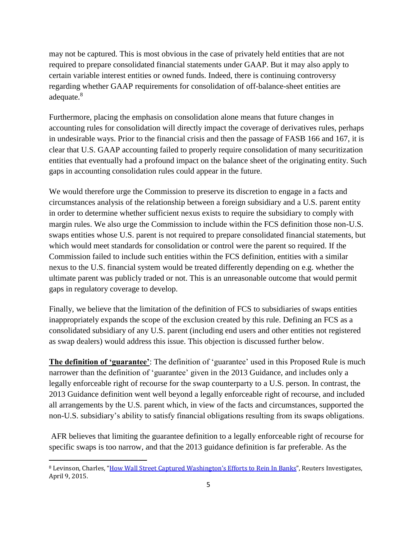may not be captured. This is most obvious in the case of privately held entities that are not required to prepare consolidated financial statements under GAAP. But it may also apply to certain variable interest entities or owned funds. Indeed, there is continuing controversy regarding whether GAAP requirements for consolidation of off-balance-sheet entities are adequate.<sup>8</sup>

Furthermore, placing the emphasis on consolidation alone means that future changes in accounting rules for consolidation will directly impact the coverage of derivatives rules, perhaps in undesirable ways. Prior to the financial crisis and then the passage of FASB 166 and 167, it is clear that U.S. GAAP accounting failed to properly require consolidation of many securitization entities that eventually had a profound impact on the balance sheet of the originating entity. Such gaps in accounting consolidation rules could appear in the future.

We would therefore urge the Commission to preserve its discretion to engage in a facts and circumstances analysis of the relationship between a foreign subsidiary and a U.S. parent entity in order to determine whether sufficient nexus exists to require the subsidiary to comply with margin rules. We also urge the Commission to include within the FCS definition those non-U.S. swaps entities whose U.S. parent is not required to prepare consolidated financial statements, but which would meet standards for consolidation or control were the parent so required. If the Commission failed to include such entities within the FCS definition, entities with a similar nexus to the U.S. financial system would be treated differently depending on e.g. whether the ultimate parent was publicly traded or not. This is an unreasonable outcome that would permit gaps in regulatory coverage to develop.

Finally, we believe that the limitation of the definition of FCS to subsidiaries of swaps entities inappropriately expands the scope of the exclusion created by this rule. Defining an FCS as a consolidated subsidiary of any U.S. parent (including end users and other entities not registered as swap dealers) would address this issue. This objection is discussed further below.

**The definition of 'guarantee'**: The definition of 'guarantee' used in this Proposed Rule is much narrower than the definition of 'guarantee' given in the 2013 Guidance, and includes only a legally enforceable right of recourse for the swap counterparty to a U.S. person. In contrast, the 2013 Guidance definition went well beyond a legally enforceable right of recourse, and included all arrangements by the U.S. parent which, in view of the facts and circumstances, supported the non-U.S. subsidiary's ability to satisfy financial obligations resulting from its swaps obligations.

AFR believes that limiting the guarantee definition to a legally enforceable right of recourse for specific swaps is too narrow, and that the 2013 guidance definition is far preferable. As the

 $\overline{a}$ 

<sup>8</sup> Levinson, Charles, "[How Wall Street Captured](http://www.reuters.com/investigates/special-report/usa-bankrules-weakening/) Washington's Efforts to Rein In Banks", Reuters Investigates, April 9, 2015.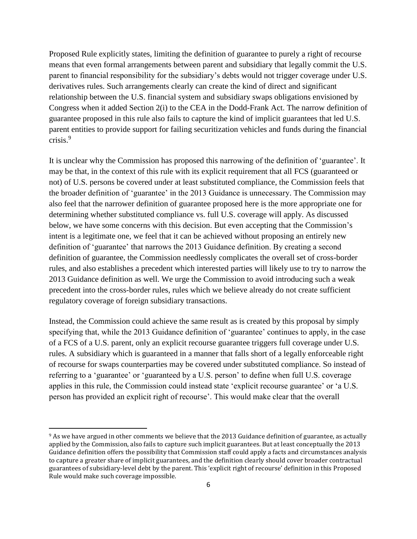Proposed Rule explicitly states, limiting the definition of guarantee to purely a right of recourse means that even formal arrangements between parent and subsidiary that legally commit the U.S. parent to financial responsibility for the subsidiary's debts would not trigger coverage under U.S. derivatives rules. Such arrangements clearly can create the kind of direct and significant relationship between the U.S. financial system and subsidiary swaps obligations envisioned by Congress when it added Section 2(i) to the CEA in the Dodd-Frank Act. The narrow definition of guarantee proposed in this rule also fails to capture the kind of implicit guarantees that led U.S. parent entities to provide support for failing securitization vehicles and funds during the financial crisis.<sup>9</sup>

It is unclear why the Commission has proposed this narrowing of the definition of 'guarantee'. It may be that, in the context of this rule with its explicit requirement that all FCS (guaranteed or not) of U.S. persons be covered under at least substituted compliance, the Commission feels that the broader definition of 'guarantee' in the 2013 Guidance is unnecessary. The Commission may also feel that the narrower definition of guarantee proposed here is the more appropriate one for determining whether substituted compliance vs. full U.S. coverage will apply. As discussed below, we have some concerns with this decision. But even accepting that the Commission's intent is a legitimate one, we feel that it can be achieved without proposing an entirely new definition of 'guarantee' that narrows the 2013 Guidance definition. By creating a second definition of guarantee, the Commission needlessly complicates the overall set of cross-border rules, and also establishes a precedent which interested parties will likely use to try to narrow the 2013 Guidance definition as well. We urge the Commission to avoid introducing such a weak precedent into the cross-border rules, rules which we believe already do not create sufficient regulatory coverage of foreign subsidiary transactions.

Instead, the Commission could achieve the same result as is created by this proposal by simply specifying that, while the 2013 Guidance definition of 'guarantee' continues to apply, in the case of a FCS of a U.S. parent, only an explicit recourse guarantee triggers full coverage under U.S. rules. A subsidiary which is guaranteed in a manner that falls short of a legally enforceable right of recourse for swaps counterparties may be covered under substituted compliance. So instead of referring to a 'guarantee' or 'guaranteed by a U.S. person' to define when full U.S. coverage applies in this rule, the Commission could instead state 'explicit recourse guarantee' or 'a U.S. person has provided an explicit right of recourse'. This would make clear that the overall

 $\overline{a}$ 

<sup>9</sup> As we have argued in other comments we believe that the 2013 Guidance definition of guarantee, as actually applied by the Commission, also fails to capture such implicit guarantees. But at least conceptually the 2013 Guidance definition offers the possibility that Commission staff could apply a facts and circumstances analysis to capture a greater share of implicit guarantees, and the definition clearly should cover broader contractual guarantees of subsidiary-level debt by the parent. This 'explicit right of recourse' definition in this Proposed Rule would make such coverage impossible.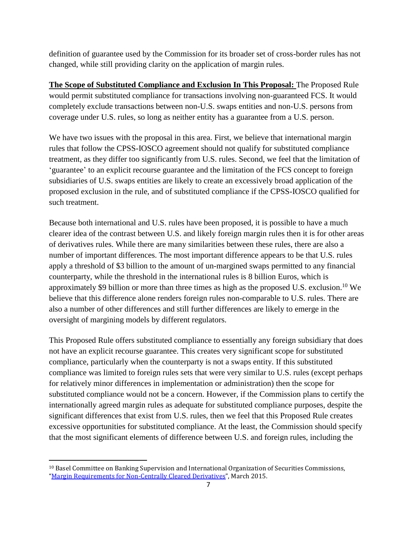definition of guarantee used by the Commission for its broader set of cross-border rules has not changed, while still providing clarity on the application of margin rules.

**The Scope of Substituted Compliance and Exclusion In This Proposal:** The Proposed Rule would permit substituted compliance for transactions involving non-guaranteed FCS. It would completely exclude transactions between non-U.S. swaps entities and non-U.S. persons from coverage under U.S. rules, so long as neither entity has a guarantee from a U.S. person.

We have two issues with the proposal in this area. First, we believe that international margin rules that follow the CPSS-IOSCO agreement should not qualify for substituted compliance treatment, as they differ too significantly from U.S. rules. Second, we feel that the limitation of 'guarantee' to an explicit recourse guarantee and the limitation of the FCS concept to foreign subsidiaries of U.S. swaps entities are likely to create an excessively broad application of the proposed exclusion in the rule, and of substituted compliance if the CPSS-IOSCO qualified for such treatment.

Because both international and U.S. rules have been proposed, it is possible to have a much clearer idea of the contrast between U.S. and likely foreign margin rules then it is for other areas of derivatives rules. While there are many similarities between these rules, there are also a number of important differences. The most important difference appears to be that U.S. rules apply a threshold of \$3 billion to the amount of un-margined swaps permitted to any financial counterparty, while the threshold in the international rules is 8 billion Euros, which is approximately \$9 billion or more than three times as high as the proposed U.S. exclusion.<sup>10</sup> We believe that this difference alone renders foreign rules non-comparable to U.S. rules. There are also a number of other differences and still further differences are likely to emerge in the oversight of margining models by different regulators.

This Proposed Rule offers substituted compliance to essentially any foreign subsidiary that does not have an explicit recourse guarantee. This creates very significant scope for substituted compliance, particularly when the counterparty is not a swaps entity. If this substituted compliance was limited to foreign rules sets that were very similar to U.S. rules (except perhaps for relatively minor differences in implementation or administration) then the scope for substituted compliance would not be a concern. However, if the Commission plans to certify the internationally agreed margin rules as adequate for substituted compliance purposes, despite the significant differences that exist from U.S. rules, then we feel that this Proposed Rule creates excessive opportunities for substituted compliance. At the least, the Commission should specify that the most significant elements of difference between U.S. and foreign rules, including the

 $\overline{a}$ 

<sup>10</sup> Basel Committee on Banking Supervision and International Organization of Securities Commissions, "[Margin Requirements for Non-Centrally Cleared Derivatives](http://www.bis.org/bcbs/publ/d317.pdf)", March 2015.